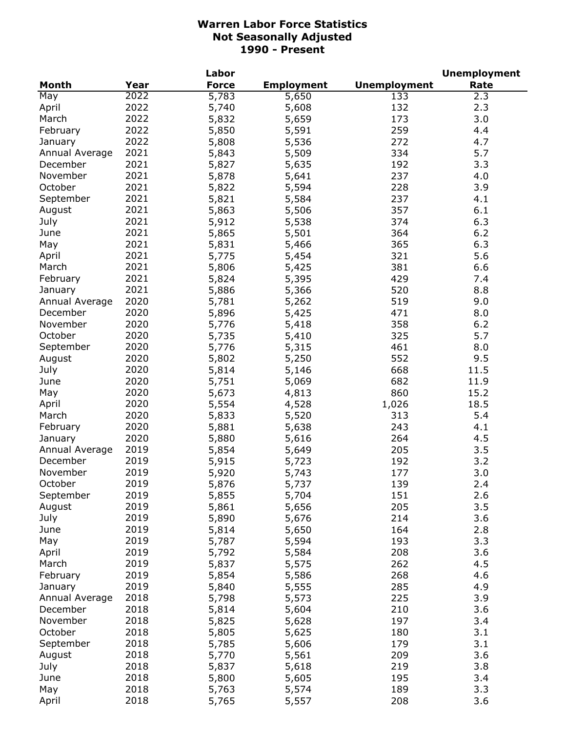|                |      | Labor        |                   |                     | <b>Unemployment</b> |
|----------------|------|--------------|-------------------|---------------------|---------------------|
| <b>Month</b>   | Year | <b>Force</b> | <b>Employment</b> | <b>Unemployment</b> | Rate                |
| May            | 2022 | 5,783        | 5,650             | 133                 | 2.3                 |
| April          | 2022 | 5,740        | 5,608             | 132                 | 2.3                 |
| March          | 2022 | 5,832        | 5,659             | 173                 | 3.0                 |
| February       | 2022 | 5,850        | 5,591             | 259                 | 4.4                 |
| January        | 2022 | 5,808        | 5,536             | 272                 | 4.7                 |
| Annual Average | 2021 | 5,843        | 5,509             | 334                 | 5.7                 |
| December       | 2021 | 5,827        | 5,635             | 192                 | 3.3                 |
| November       | 2021 | 5,878        | 5,641             | 237                 | 4.0                 |
| October        | 2021 | 5,822        | 5,594             | 228                 | 3.9                 |
| September      | 2021 | 5,821        | 5,584             | 237                 | 4.1                 |
| August         | 2021 | 5,863        | 5,506             | 357                 | 6.1                 |
|                | 2021 |              |                   | 374                 | 6.3                 |
| July           |      | 5,912        | 5,538             |                     |                     |
| June           | 2021 | 5,865        | 5,501             | 364                 | 6.2                 |
| May            | 2021 | 5,831        | 5,466             | 365                 | 6.3                 |
| April          | 2021 | 5,775        | 5,454             | 321                 | 5.6                 |
| March          | 2021 | 5,806        | 5,425             | 381                 | 6.6                 |
| February       | 2021 | 5,824        | 5,395             | 429                 | 7.4                 |
| January        | 2021 | 5,886        | 5,366             | 520                 | 8.8                 |
| Annual Average | 2020 | 5,781        | 5,262             | 519                 | 9.0                 |
| December       | 2020 | 5,896        | 5,425             | 471                 | 8.0                 |
| November       | 2020 | 5,776        | 5,418             | 358                 | 6.2                 |
| October        | 2020 | 5,735        | 5,410             | 325                 | 5.7                 |
| September      | 2020 | 5,776        | 5,315             | 461                 | 8.0                 |
| August         | 2020 | 5,802        | 5,250             | 552                 | 9.5                 |
| July           | 2020 | 5,814        | 5,146             | 668                 | 11.5                |
| June           | 2020 | 5,751        | 5,069             | 682                 | 11.9                |
| May            | 2020 | 5,673        | 4,813             | 860                 | 15.2                |
| April          | 2020 | 5,554        | 4,528             | 1,026               | 18.5                |
| March          | 2020 | 5,833        | 5,520             | 313                 | 5.4                 |
| February       | 2020 | 5,881        | 5,638             | 243                 | 4.1                 |
| January        | 2020 | 5,880        | 5,616             | 264                 | 4.5                 |
| Annual Average | 2019 | 5,854        | 5,649             | 205                 | 3.5                 |
| December       | 2019 | 5,915        | 5,723             | 192                 | 3.2                 |
| November       | 2019 | 5,920        | 5,743             | 177                 | 3.0                 |
| October        | 2019 | 5,876        | 5,737             | 139                 | 2.4                 |
| September      | 2019 | 5,855        | 5,704             | 151                 | 2.6                 |
| August         | 2019 | 5,861        | 5,656             | 205                 | 3.5                 |
| July           | 2019 | 5,890        | 5,676             | 214                 | 3.6                 |
| June           | 2019 | 5,814        | 5,650             | 164                 | 2.8                 |
| May            | 2019 | 5,787        | 5,594             | 193                 | 3.3                 |
| April          | 2019 | 5,792        | 5,584             | 208                 | 3.6                 |
| March          | 2019 | 5,837        | 5,575             | 262                 | 4.5                 |
| February       | 2019 | 5,854        | 5,586             | 268                 | 4.6                 |
| January        | 2019 | 5,840        |                   | 285                 | 4.9                 |
|                |      |              | 5,555             |                     |                     |
| Annual Average | 2018 | 5,798        | 5,573             | 225                 | 3.9                 |
| December       | 2018 | 5,814        | 5,604             | 210                 | 3.6                 |
| November       | 2018 | 5,825        | 5,628             | 197                 | 3.4                 |
| October        | 2018 | 5,805        | 5,625             | 180                 | 3.1                 |
| September      | 2018 | 5,785        | 5,606             | 179                 | 3.1                 |
| August         | 2018 | 5,770        | 5,561             | 209                 | 3.6                 |
| July           | 2018 | 5,837        | 5,618             | 219                 | 3.8                 |
| June           | 2018 | 5,800        | 5,605             | 195                 | 3.4                 |
| May            | 2018 | 5,763        | 5,574             | 189                 | 3.3                 |
| April          | 2018 | 5,765        | 5,557             | 208                 | 3.6                 |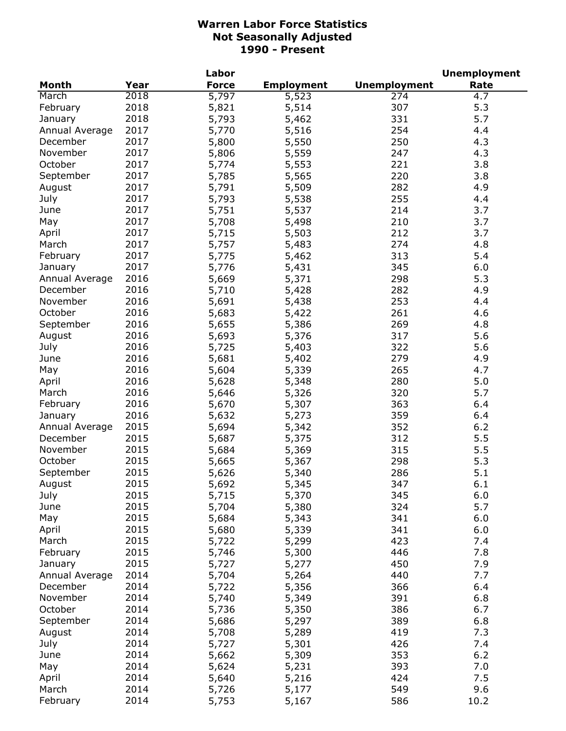|                |      | Labor        |                   |                     | <b>Unemployment</b> |
|----------------|------|--------------|-------------------|---------------------|---------------------|
| Month          | Year | <b>Force</b> | <b>Employment</b> | <b>Unemployment</b> | Rate                |
| March          | 2018 | 5,797        | 5,523             | 274                 | 4.7                 |
| February       | 2018 | 5,821        | 5,514             | 307                 | 5.3                 |
| January        | 2018 | 5,793        | 5,462             | 331                 | 5.7                 |
| Annual Average | 2017 | 5,770        | 5,516             | 254                 | 4.4                 |
| December       | 2017 | 5,800        | 5,550             | 250                 | 4.3                 |
| November       | 2017 | 5,806        | 5,559             | 247                 | 4.3                 |
| October        | 2017 | 5,774        | 5,553             | 221                 | 3.8                 |
| September      | 2017 | 5,785        | 5,565             | 220                 | 3.8                 |
| August         | 2017 | 5,791        | 5,509             | 282                 | 4.9                 |
| July           | 2017 | 5,793        | 5,538             | 255                 | 4.4                 |
| June           | 2017 | 5,751        | 5,537             | 214                 | 3.7                 |
| May            | 2017 | 5,708        | 5,498             | 210                 | 3.7                 |
| April          | 2017 | 5,715        | 5,503             | 212                 | 3.7                 |
| March          | 2017 | 5,757        | 5,483             | 274                 | 4.8                 |
| February       | 2017 | 5,775        | 5,462             | 313                 | 5.4                 |
| January        | 2017 | 5,776        | 5,431             | 345                 | 6.0                 |
| Annual Average | 2016 | 5,669        | 5,371             | 298                 | 5.3                 |
| December       | 2016 | 5,710        | 5,428             | 282                 | 4.9                 |
| November       | 2016 | 5,691        | 5,438             | 253                 | 4.4                 |
| October        | 2016 | 5,683        | 5,422             | 261                 | 4.6                 |
| September      | 2016 | 5,655        | 5,386             | 269                 | 4.8                 |
| August         | 2016 | 5,693        | 5,376             | 317                 | 5.6                 |
| July           | 2016 | 5,725        | 5,403             | 322                 | 5.6                 |
| June           | 2016 | 5,681        | 5,402             | 279                 | 4.9                 |
| May            | 2016 | 5,604        | 5,339             | 265                 | 4.7                 |
| April          | 2016 | 5,628        | 5,348             | 280                 | 5.0                 |
| March          | 2016 | 5,646        | 5,326             | 320                 | 5.7                 |
| February       | 2016 | 5,670        | 5,307             | 363                 | 6.4                 |
| January        | 2016 | 5,632        | 5,273             | 359                 | 6.4                 |
| Annual Average | 2015 | 5,694        | 5,342             | 352                 | 6.2                 |
| December       | 2015 | 5,687        | 5,375             | 312                 | 5.5                 |
| November       | 2015 | 5,684        | 5,369             | 315                 | 5.5                 |
| October        | 2015 | 5,665        | 5,367             | 298                 | 5.3                 |
| September      | 2015 | 5,626        | 5,340             | 286                 | 5.1                 |
| August         | 2015 | 5,692        | 5,345             | 347                 | 6.1                 |
| July           | 2015 | 5,715        | 5,370             | 345                 | 6.0                 |
| June           | 2015 | 5,704        | 5,380             | 324                 | 5.7                 |
| May            | 2015 | 5,684        | 5,343             | 341                 | 6.0                 |
| April          | 2015 | 5,680        | 5,339             | 341                 | 6.0                 |
| March          | 2015 | 5,722        | 5,299             | 423                 | 7.4                 |
| February       | 2015 | 5,746        | 5,300             | 446                 | 7.8                 |
| January        | 2015 | 5,727        | 5,277             | 450                 | 7.9                 |
| Annual Average | 2014 | 5,704        | 5,264             | 440                 | 7.7                 |
| December       | 2014 | 5,722        | 5,356             | 366                 | 6.4                 |
| November       | 2014 | 5,740        | 5,349             | 391                 | 6.8                 |
| October        | 2014 | 5,736        | 5,350             | 386                 | 6.7                 |
| September      | 2014 | 5,686        | 5,297             | 389                 | 6.8                 |
| August         | 2014 | 5,708        | 5,289             | 419                 | 7.3                 |
| July           | 2014 | 5,727        | 5,301             | 426                 | 7.4                 |
| June           | 2014 | 5,662        | 5,309             | 353                 | 6.2                 |
| May            | 2014 | 5,624        | 5,231             | 393                 | 7.0                 |
| April          | 2014 | 5,640        | 5,216             | 424                 | 7.5                 |
| March          | 2014 | 5,726        | 5,177             | 549                 | 9.6                 |
| February       | 2014 | 5,753        | 5,167             | 586                 | 10.2                |
|                |      |              |                   |                     |                     |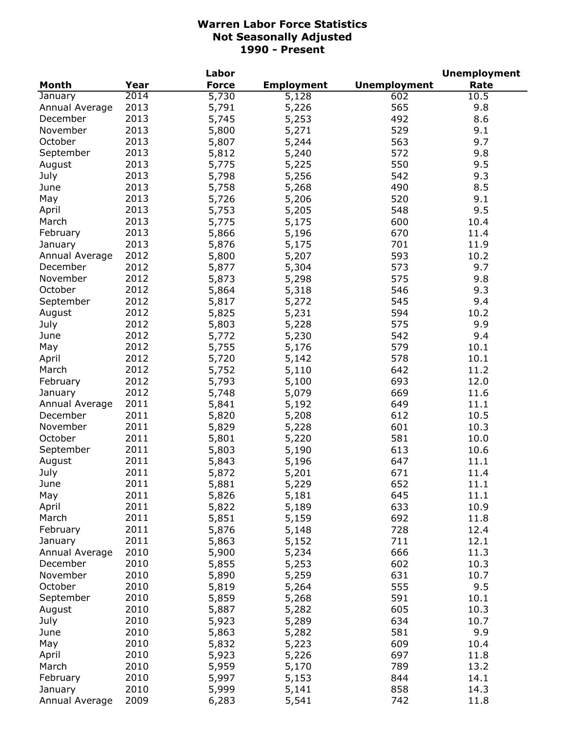|                |      | Labor          |                   |                     | <b>Unemployment</b> |
|----------------|------|----------------|-------------------|---------------------|---------------------|
| <b>Month</b>   | Year | <b>Force</b>   | <b>Employment</b> | <b>Unemployment</b> | Rate                |
| January        | 2014 | 5,730          | 5,128             | 602                 | 10.5                |
| Annual Average | 2013 | 5,791          | 5,226             | 565                 | 9.8                 |
| December       | 2013 | 5,745          | 5,253             | 492                 | 8.6                 |
| November       | 2013 | 5,800          | 5,271             | 529                 | 9.1                 |
| October        | 2013 | 5,807          | 5,244             | 563                 | 9.7                 |
| September      | 2013 | 5,812          | 5,240             | 572                 | 9.8                 |
| August         | 2013 | 5,775          | 5,225             | 550                 | 9.5                 |
| July           | 2013 | 5,798          | 5,256             | 542                 | 9.3                 |
| June           | 2013 | 5,758          | 5,268             | 490                 | 8.5                 |
| May            | 2013 | 5,726          | 5,206             | 520                 | 9.1                 |
| April          | 2013 | 5,753          | 5,205             | 548                 | 9.5                 |
| March          | 2013 | 5,775          | 5,175             | 600                 | 10.4                |
| February       | 2013 | 5,866          | 5,196             | 670                 | 11.4                |
| January        | 2013 | 5,876          | 5,175             | 701                 | 11.9                |
| Annual Average | 2012 | 5,800          | 5,207             | 593                 | 10.2                |
| December       | 2012 | 5,877          | 5,304             | 573                 | 9.7                 |
| November       | 2012 | 5,873          | 5,298             | 575                 | 9.8                 |
| October        | 2012 | 5,864          | 5,318             | 546                 | 9.3                 |
| September      | 2012 | 5,817          | 5,272             | 545                 | 9.4                 |
| August         | 2012 | 5,825          | 5,231             | 594                 | 10.2                |
| July           | 2012 | 5,803          | 5,228             | 575                 | 9.9                 |
| June           | 2012 | 5,772          | 5,230             | 542                 | 9.4                 |
| May            | 2012 | 5,755          | 5,176             | 579                 | 10.1                |
| April          | 2012 | 5,720          | 5,142             | 578                 | 10.1                |
| March          | 2012 | 5,752          | 5,110             | 642                 | 11.2                |
| February       | 2012 | 5,793          | 5,100             | 693                 | 12.0                |
| January        | 2012 | 5,748          | 5,079             | 669                 | 11.6                |
| Annual Average | 2011 | 5,841          | 5,192             | 649                 | 11.1                |
| December       | 2011 | 5,820          | 5,208             | 612                 | 10.5                |
| November       | 2011 | 5,829          | 5,228             | 601                 | 10.3                |
| October        | 2011 | 5,801          | 5,220             | 581                 | 10.0                |
| September      | 2011 | 5,803          | 5,190             | 613                 | 10.6                |
| August         | 2011 | 5,843          | 5,196             | 647                 | 11.1                |
| July           | 2011 | 5,872          | 5,201             | 671                 | 11.4                |
| June           | 2011 | 5,881          | 5,229             | 652                 | 11.1                |
| May            | 2011 | 5,826          | 5,181             | 645                 | 11.1                |
| April          | 2011 | 5,822          | 5,189             | 633                 | 10.9                |
| March          | 2011 | 5,851          | 5,159             | 692                 | 11.8                |
| February       | 2011 | 5,876          | 5,148             | 728                 | 12.4                |
| January        | 2011 | 5,863          | 5,152             | 711                 | 12.1                |
| Annual Average | 2010 | 5,900          | 5,234             | 666                 | 11.3                |
| December       | 2010 | 5,855          | 5,253             | 602                 | 10.3                |
| November       | 2010 | 5,890          | 5,259             | 631                 | 10.7                |
| October        | 2010 | 5,819          | 5,264             | 555                 | 9.5                 |
| September      | 2010 | 5,859          | 5,268             | 591                 | 10.1                |
| August         | 2010 | 5,887          | 5,282             | 605                 | 10.3                |
|                | 2010 |                |                   | 634                 | 10.7                |
| July           | 2010 | 5,923          | 5,289             | 581                 | 9.9                 |
| June           | 2010 | 5,863          | 5,282             |                     |                     |
| May            | 2010 | 5,832          | 5,223             | 609<br>697          | 10.4                |
| April<br>March | 2010 | 5,923          | 5,226             | 789                 | 11.8<br>13.2        |
| February       | 2010 | 5,959          | 5,170             | 844                 | 14.1                |
| January        | 2010 | 5,997<br>5,999 | 5,153<br>5,141    | 858                 | 14.3                |
| Annual Average | 2009 | 6,283          | 5,541             | 742                 | 11.8                |
|                |      |                |                   |                     |                     |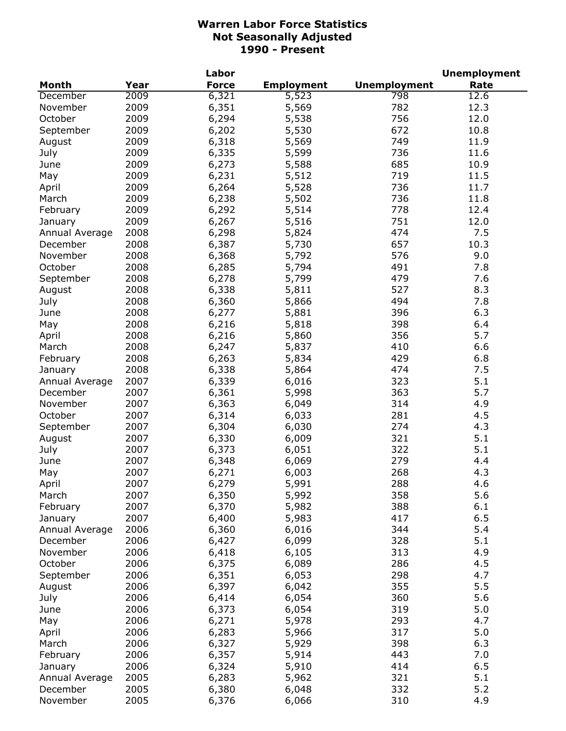|                |      | Labor        |                   |                     | <b>Unemployment</b> |
|----------------|------|--------------|-------------------|---------------------|---------------------|
| <b>Month</b>   | Year | <b>Force</b> | <b>Employment</b> | <b>Unemployment</b> | Rate                |
| December       | 2009 | 6,321        | 5,523             | 798                 | 12.6                |
| November       | 2009 | 6,351        | 5,569             | 782                 | 12.3                |
| October        | 2009 | 6,294        | 5,538             | 756                 | 12.0                |
| September      | 2009 | 6,202        | 5,530             | 672                 | 10.8                |
| August         | 2009 | 6,318        | 5,569             | 749                 | 11.9                |
| July           | 2009 | 6,335        | 5,599             | 736                 | 11.6                |
| June           | 2009 | 6,273        | 5,588             | 685                 | 10.9                |
| May            | 2009 | 6,231        | 5,512             | 719                 | 11.5                |
| April          | 2009 | 6,264        | 5,528             | 736                 | 11.7                |
| March          | 2009 | 6,238        | 5,502             | 736                 | 11.8                |
| February       | 2009 | 6,292        | 5,514             | 778                 | 12.4                |
| January        | 2009 | 6,267        | 5,516             | 751                 | 12.0                |
| Annual Average | 2008 | 6,298        | 5,824             | 474                 | 7.5                 |
| December       | 2008 | 6,387        | 5,730             | 657                 | 10.3                |
| November       | 2008 | 6,368        | 5,792             | 576                 | 9.0                 |
| October        | 2008 | 6,285        | 5,794             | 491                 | 7.8                 |
| September      | 2008 | 6,278        | 5,799             | 479                 | 7.6                 |
| August         | 2008 | 6,338        | 5,811             | 527                 | 8.3                 |
| July           | 2008 | 6,360        | 5,866             | 494                 | 7.8                 |
| June           | 2008 | 6,277        | 5,881             | 396                 | 6.3                 |
| May            | 2008 | 6,216        | 5,818             | 398                 | 6.4                 |
| April          | 2008 | 6,216        | 5,860             | 356                 | 5.7                 |
| March          | 2008 | 6,247        | 5,837             | 410                 | 6.6                 |
| February       | 2008 | 6,263        | 5,834             | 429                 | 6.8                 |
| January        | 2008 | 6,338        | 5,864             | 474                 | 7.5                 |
| Annual Average | 2007 | 6,339        | 6,016             | 323                 | 5.1                 |
| December       | 2007 | 6,361        | 5,998             | 363                 | 5.7                 |
| November       | 2007 | 6,363        | 6,049             | 314                 | 4.9                 |
| October        | 2007 | 6,314        | 6,033             | 281                 | 4.5                 |
| September      | 2007 | 6,304        | 6,030             | 274                 | 4.3                 |
| August         | 2007 | 6,330        | 6,009             | 321                 | 5.1                 |
| July           | 2007 | 6,373        | 6,051             | 322                 | 5.1                 |
| June           | 2007 | 6,348        | 6,069             | 279                 | 4.4                 |
| May            | 2007 | 6,271        | 6,003             | 268                 | 4.3                 |
| April          | 2007 | 6,279        | 5,991             | 288                 | 4.6                 |
| March          | 2007 | 6,350        | 5,992             | 358                 | 5.6                 |
| February       | 2007 | 6,370        | 5,982             | 388                 | 6.1                 |
| January        | 2007 | 6,400        | 5,983             | 417                 | 6.5                 |
| Annual Average | 2006 | 6,360        | 6,016             | 344                 | 5.4                 |
| December       | 2006 | 6,427        | 6,099             | 328                 | 5.1                 |
| November       | 2006 | 6,418        | 6,105             | 313                 | 4.9                 |
| October        | 2006 | 6,375        | 6,089             | 286                 | 4.5                 |
| September      | 2006 | 6,351        | 6,053             | 298                 | 4.7                 |
| August         | 2006 | 6,397        | 6,042             | 355                 | 5.5                 |
| July           | 2006 | 6,414        | 6,054             | 360                 | 5.6                 |
| June           | 2006 | 6,373        | 6,054             | 319                 | 5.0                 |
| May            | 2006 | 6,271        | 5,978             | 293                 | 4.7                 |
| April          | 2006 | 6,283        | 5,966             | 317                 | 5.0                 |
| March          | 2006 | 6,327        | 5,929             | 398                 | 6.3                 |
| February       | 2006 | 6,357        | 5,914             | 443                 | 7.0                 |
| January        | 2006 | 6,324        | 5,910             | 414                 | 6.5                 |
| Annual Average | 2005 | 6,283        | 5,962             | 321                 | 5.1                 |
| December       | 2005 | 6,380        | 6,048             | 332                 | 5.2                 |
| November       | 2005 | 6,376        | 6,066             | 310                 | 4.9                 |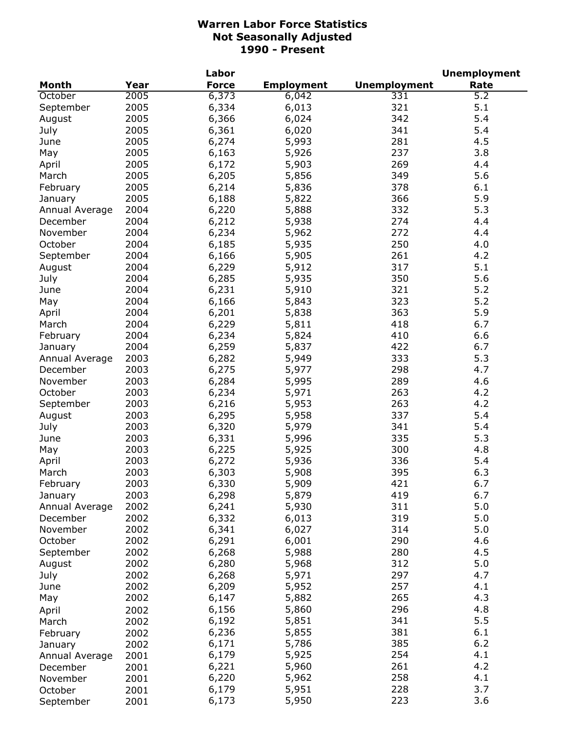|                |      | Labor        |                   |                     | <b>Unemployment</b> |
|----------------|------|--------------|-------------------|---------------------|---------------------|
| <b>Month</b>   | Year | <b>Force</b> | <b>Employment</b> | <b>Unemployment</b> | Rate                |
| October        | 2005 | 6,373        | 6,042             | 331                 | 5.2                 |
| September      | 2005 | 6,334        | 6,013             | 321                 | 5.1                 |
| August         | 2005 | 6,366        | 6,024             | 342                 | 5.4                 |
| July           | 2005 | 6,361        | 6,020             | 341                 | 5.4                 |
| June           | 2005 | 6,274        | 5,993             | 281                 | 4.5                 |
| May            | 2005 | 6,163        | 5,926             | 237                 | 3.8                 |
| April          | 2005 | 6,172        | 5,903             | 269                 | 4.4                 |
| March          | 2005 | 6,205        | 5,856             | 349                 | 5.6                 |
| February       | 2005 | 6,214        | 5,836             | 378                 | 6.1                 |
| January        | 2005 | 6,188        | 5,822             | 366                 | 5.9                 |
| Annual Average | 2004 | 6,220        | 5,888             | 332                 | 5.3                 |
| December       | 2004 | 6,212        | 5,938             | 274                 | 4.4                 |
| November       | 2004 | 6,234        | 5,962             | 272                 | 4.4                 |
| October        | 2004 | 6,185        | 5,935             | 250                 | 4.0                 |
| September      | 2004 | 6,166        | 5,905             | 261                 | 4.2                 |
| August         | 2004 | 6,229        | 5,912             | 317                 | 5.1                 |
| July           | 2004 | 6,285        | 5,935             | 350                 | 5.6                 |
| June           | 2004 | 6,231        | 5,910             | 321                 | 5.2                 |
| May            | 2004 | 6,166        | 5,843             | 323                 | 5.2                 |
| April          | 2004 | 6,201        | 5,838             | 363                 | 5.9                 |
| March          | 2004 | 6,229        | 5,811             | 418                 | 6.7                 |
| February       | 2004 | 6,234        | 5,824             | 410                 | 6.6                 |
| January        | 2004 | 6,259        | 5,837             | 422                 | 6.7                 |
| Annual Average | 2003 | 6,282        | 5,949             | 333                 | 5.3                 |
| December       | 2003 | 6,275        | 5,977             | 298                 | 4.7                 |
| November       | 2003 | 6,284        | 5,995             | 289                 | 4.6                 |
| October        | 2003 | 6,234        | 5,971             | 263                 | 4.2                 |
| September      | 2003 | 6,216        | 5,953             | 263                 | 4.2                 |
| August         | 2003 | 6,295        | 5,958             | 337                 | 5.4                 |
| July           | 2003 | 6,320        | 5,979             | 341                 | 5.4                 |
| June           | 2003 | 6,331        | 5,996             | 335                 | 5.3                 |
| May            | 2003 | 6,225        | 5,925             | 300                 | 4.8                 |
| April          | 2003 | 6,272        | 5,936             | 336                 | 5.4                 |
| March          | 2003 | 6,303        | 5,908             | 395                 | 6.3                 |
| February       | 2003 | 6,330        | 5,909             | 421                 | 6.7                 |
| January        | 2003 | 6,298        | 5,879             | 419                 | 6.7                 |
| Annual Average | 2002 | 6,241        | 5,930             | 311                 | 5.0                 |
| December       | 2002 | 6,332        | 6,013             | 319                 | 5.0                 |
| November       | 2002 | 6,341        | 6,027             | 314                 | 5.0                 |
| October        | 2002 | 6,291        | 6,001             | 290                 | 4.6                 |
| September      | 2002 | 6,268        | 5,988             | 280                 | 4.5                 |
| August         | 2002 | 6,280        | 5,968             | 312                 | 5.0                 |
| July           | 2002 | 6,268        | 5,971             | 297                 | 4.7                 |
| June           | 2002 | 6,209        | 5,952             | 257                 | 4.1                 |
| May            | 2002 | 6,147        | 5,882             | 265                 | 4.3                 |
| April          | 2002 | 6,156        | 5,860             | 296                 | 4.8                 |
| March          | 2002 | 6,192        | 5,851             | 341                 | 5.5                 |
| February       | 2002 | 6,236        | 5,855             | 381                 | 6.1                 |
| January        | 2002 | 6,171        | 5,786             | 385                 | 6.2                 |
| Annual Average | 2001 | 6,179        | 5,925             | 254                 | 4.1                 |
| December       | 2001 | 6,221        | 5,960             | 261                 | 4.2                 |
| November       | 2001 | 6,220        | 5,962             | 258                 | 4.1                 |
| October        | 2001 | 6,179        | 5,951             | 228                 | 3.7                 |
| September      | 2001 | 6,173        | 5,950             | 223                 | 3.6                 |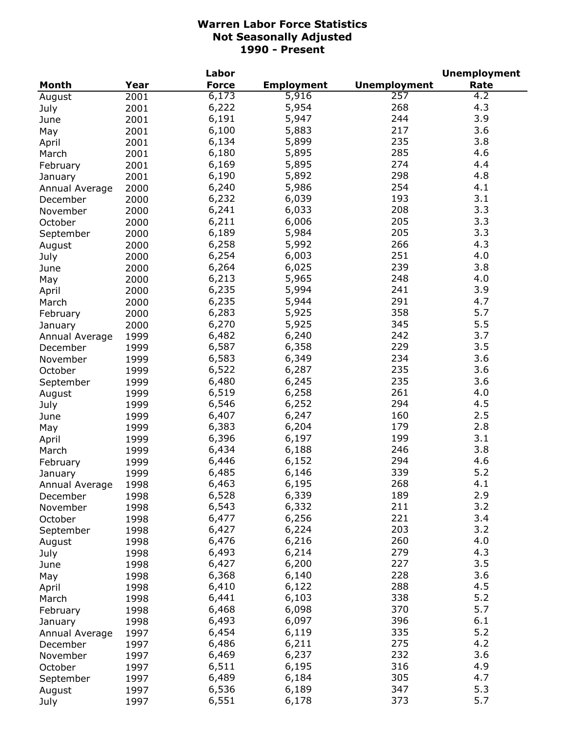|                |      | Labor        |                   |                     | <b>Unemployment</b> |
|----------------|------|--------------|-------------------|---------------------|---------------------|
| Month          | Year | <b>Force</b> | <b>Employment</b> | <b>Unemployment</b> | Rate                |
| August         | 2001 | 6,173        | 5,916             | 257                 | 4.2                 |
| July           | 2001 | 6,222        | 5,954             | 268                 | 4.3                 |
| June           | 2001 | 6,191        | 5,947             | 244                 | 3.9                 |
| May            | 2001 | 6,100        | 5,883             | 217                 | 3.6                 |
| April          | 2001 | 6,134        | 5,899             | 235                 | 3.8                 |
| March          | 2001 | 6,180        | 5,895             | 285                 | 4.6                 |
| February       | 2001 | 6,169        | 5,895             | 274                 | 4.4                 |
| January        | 2001 | 6,190        | 5,892             | 298                 | 4.8                 |
| Annual Average | 2000 | 6,240        | 5,986             | 254                 | 4.1                 |
| December       | 2000 | 6,232        | 6,039             | 193                 | 3.1                 |
| November       | 2000 | 6,241        | 6,033             | 208                 | 3.3                 |
| October        | 2000 | 6,211        | 6,006             | 205                 | 3.3                 |
|                |      | 6,189        | 5,984             | 205                 | 3.3                 |
| September      | 2000 | 6,258        | 5,992             | 266                 | 4.3                 |
| August         | 2000 | 6,254        | 6,003             | 251                 | 4.0                 |
| July           | 2000 |              |                   | 239                 | 3.8                 |
| June           | 2000 | 6,264        | 6,025             |                     |                     |
| May            | 2000 | 6,213        | 5,965             | 248                 | 4.0                 |
| April          | 2000 | 6,235        | 5,994             | 241                 | 3.9                 |
| March          | 2000 | 6,235        | 5,944             | 291                 | 4.7                 |
| February       | 2000 | 6,283        | 5,925             | 358                 | 5.7                 |
| January        | 2000 | 6,270        | 5,925             | 345                 | 5.5                 |
| Annual Average | 1999 | 6,482        | 6,240             | 242                 | 3.7                 |
| December       | 1999 | 6,587        | 6,358             | 229                 | 3.5                 |
| November       | 1999 | 6,583        | 6,349             | 234                 | 3.6                 |
| October        | 1999 | 6,522        | 6,287             | 235                 | 3.6                 |
| September      | 1999 | 6,480        | 6,245             | 235                 | 3.6                 |
| August         | 1999 | 6,519        | 6,258             | 261                 | 4.0                 |
| July           | 1999 | 6,546        | 6,252             | 294                 | 4.5                 |
| June           | 1999 | 6,407        | 6,247             | 160                 | 2.5                 |
| May            | 1999 | 6,383        | 6,204             | 179                 | 2.8                 |
| April          | 1999 | 6,396        | 6,197             | 199                 | 3.1                 |
| March          | 1999 | 6,434        | 6,188             | 246                 | 3.8                 |
| February       | 1999 | 6,446        | 6,152             | 294                 | 4.6                 |
| January        | 1999 | 6,485        | 6,146             | 339                 | 5.2                 |
| Annual Average | 1998 | 6,463        | 6,195             | 268                 | 4.1                 |
| December       | 1998 | 6,528        | 6,339             | 189                 | 2.9                 |
| November       | 1998 | 6,543        | 6,332             | 211                 | 3.2                 |
| October        | 1998 | 6,477        | 6,256             | 221                 | 3.4                 |
| September      | 1998 | 6,427        | 6,224             | 203                 | 3.2                 |
| August         | 1998 | 6,476        | 6,216             | 260                 | 4.0                 |
| July           | 1998 | 6,493        | 6,214             | 279                 | 4.3                 |
| June           | 1998 | 6,427        | 6,200             | 227                 | 3.5                 |
| May            | 1998 | 6,368        | 6,140             | 228                 | 3.6                 |
| April          | 1998 | 6,410        | 6,122             | 288                 | 4.5                 |
|                | 1998 | 6,441        | 6,103             | 338                 | 5.2                 |
| March          |      | 6,468        | 6,098             | 370                 | 5.7                 |
| February       | 1998 | 6,493        | 6,097             | 396                 | 6.1                 |
| January        | 1998 |              |                   |                     | 5.2                 |
| Annual Average | 1997 | 6,454        | 6,119             | 335                 |                     |
| December       | 1997 | 6,486        | 6,211             | 275                 | 4.2                 |
| November       | 1997 | 6,469        | 6,237             | 232                 | 3.6                 |
| October        | 1997 | 6,511        | 6,195             | 316                 | 4.9                 |
| September      | 1997 | 6,489        | 6,184             | 305                 | 4.7                 |
| August         | 1997 | 6,536        | 6,189             | 347                 | 5.3                 |
| July           | 1997 | 6,551        | 6,178             | 373                 | 5.7                 |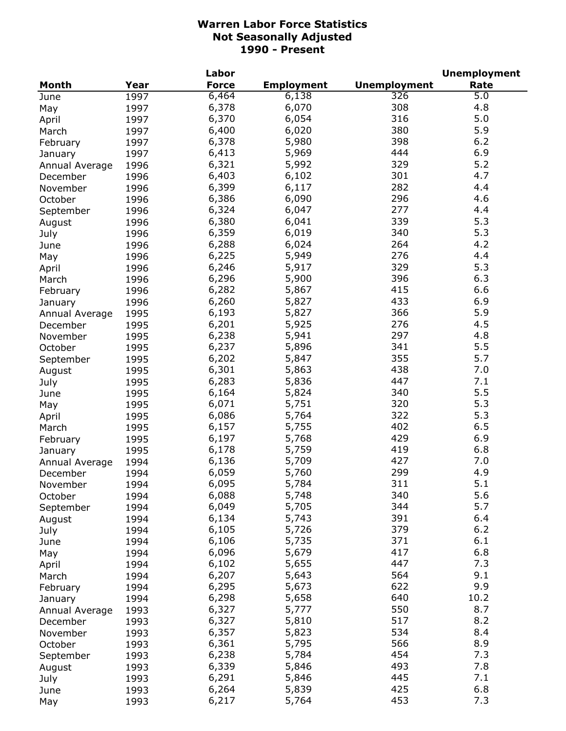| <b>Unemployment</b><br>Year<br><b>Force</b><br><b>Employment</b><br>Rate<br><b>Month</b><br>6,464<br>326<br>5.0<br>6,138<br>1997<br>June<br>308<br>6,378<br>4.8<br>6,070<br>1997<br>May<br>6,370<br>316<br>5.0<br>6,054<br>1997<br>April<br>5.9<br>380<br>6,400<br>6,020<br>1997<br>March<br>398<br>$6.2$<br>6,378<br>5,980<br>1997<br>February<br>444<br>6.9<br>6,413<br>5,969<br>1997<br>January<br>6,321<br>329<br>5.2<br>5,992<br>1996<br>Annual Average<br>6,403<br>301<br>4.7<br>6,102<br>1996<br>December<br>282<br>6,399<br>4.4<br>6,117<br>1996<br>November<br>6,386<br>6,090<br>296<br>4.6<br>1996<br>October<br>6,324<br>6,047<br>277<br>4.4<br>1996<br>September<br>6,380<br>5.3<br>339<br>6,041<br>1996<br>August<br>6,359<br>5.3<br>6,019<br>340<br>1996<br>July<br>6,288<br>4.2<br>6,024<br>264<br>1996<br>June<br>6,225<br>5,949<br>276<br>4.4<br>1996<br>May<br>6,246<br>5,917<br>329<br>5.3<br>1996<br>April<br>6,296<br>5,900<br>396<br>6.3<br>1996<br>March<br>6.6<br>415<br>6,282<br>5,867<br>1996<br>February<br>433<br>6.9<br>6,260<br>5,827<br>1996<br>January<br>366<br>5.9<br>6,193<br>5,827<br>1995<br>Annual Average<br>6,201<br>276<br>4.5<br>5,925<br>1995<br>December<br>297<br>6,238<br>4.8<br>5,941<br>1995<br>November<br>6,237<br>341<br>5.5<br>5,896<br>1995<br>October<br>6,202<br>355<br>5.7<br>5,847<br>1995<br>September<br>6,301<br>5,863<br>438<br>7.0<br>1995<br>August<br>6,283<br>5,836<br>447<br>7.1<br>1995<br>July<br>5.5<br>5,824<br>340<br>6,164<br>1995<br>June<br>5.3<br>6,071<br>5,751<br>320<br>1995<br>May<br>6,086<br>5,764<br>322<br>5.3<br>1995<br>April<br>402<br>6,157<br>5,755<br>6.5<br>1995<br>March<br>6.9<br>6,197<br>5,768<br>429<br>1995<br>February<br>6,178<br>5,759<br>419<br>6.8<br>1995<br>January<br>6,136<br>5,709<br>427<br>7.0<br>1994<br>Annual Average<br>299<br>4.9<br>6,059<br>5,760<br>1994<br>December<br>311<br>5.1<br>6,095<br>5,784<br>November<br>1994<br>340<br>5.6<br>6,088<br>5,748<br>1994<br>October<br>344<br>5.7<br>6,049<br>5,705<br>1994<br>September<br>391<br>6,134<br>6.4<br>1994<br>5,743<br>August<br>379<br>6.2<br>6,105<br>5,726<br>1994<br>July<br>371<br>6,106<br>5,735<br>6.1<br>1994<br>June<br>417<br>6.8<br>6,096<br>5,679<br>1994<br>May<br>447<br>7.3<br>6,102<br>5,655<br>1994<br>April<br>6,207<br>564<br>9.1<br>5,643<br>1994<br>March<br>6,295<br>622<br>9.9<br>5,673<br>1994<br>February<br>6,298<br>640<br>10.2<br>5,658<br>1994<br>January<br>6,327<br>550<br>8.7<br>5,777<br>1993<br>Annual Average<br>6,327<br>5,810<br>517<br>8.2<br>1993<br>December<br>6,357<br>5,823<br>534<br>8.4<br>1993<br>November<br>6,361<br>566<br>8.9<br>5,795<br>1993<br>October<br>6,238<br>5,784<br>454<br>7.3<br>1993<br>September<br>493<br>7.8<br>6,339<br>5,846<br>1993<br>August<br>6,291<br>445<br>7.1<br>5,846<br>1993<br>July<br>425<br>6.8<br>6,264<br>5,839<br>1993<br>June<br>453<br>6,217<br>5,764<br>7.3<br>1993<br>May |  | Labor |  | <b>Unemployment</b> |
|--------------------------------------------------------------------------------------------------------------------------------------------------------------------------------------------------------------------------------------------------------------------------------------------------------------------------------------------------------------------------------------------------------------------------------------------------------------------------------------------------------------------------------------------------------------------------------------------------------------------------------------------------------------------------------------------------------------------------------------------------------------------------------------------------------------------------------------------------------------------------------------------------------------------------------------------------------------------------------------------------------------------------------------------------------------------------------------------------------------------------------------------------------------------------------------------------------------------------------------------------------------------------------------------------------------------------------------------------------------------------------------------------------------------------------------------------------------------------------------------------------------------------------------------------------------------------------------------------------------------------------------------------------------------------------------------------------------------------------------------------------------------------------------------------------------------------------------------------------------------------------------------------------------------------------------------------------------------------------------------------------------------------------------------------------------------------------------------------------------------------------------------------------------------------------------------------------------------------------------------------------------------------------------------------------------------------------------------------------------------------------------------------------------------------------------------------------------------------------------------------------------------------------------------------------------------------------------------------------------------------------------------------------------------------------------------------------------------------------------------------------------------------------------------------------------------------------------------------------------------------------------------------------------------------------------------|--|-------|--|---------------------|
|                                                                                                                                                                                                                                                                                                                                                                                                                                                                                                                                                                                                                                                                                                                                                                                                                                                                                                                                                                                                                                                                                                                                                                                                                                                                                                                                                                                                                                                                                                                                                                                                                                                                                                                                                                                                                                                                                                                                                                                                                                                                                                                                                                                                                                                                                                                                                                                                                                                                                                                                                                                                                                                                                                                                                                                                                                                                                                                                            |  |       |  |                     |
|                                                                                                                                                                                                                                                                                                                                                                                                                                                                                                                                                                                                                                                                                                                                                                                                                                                                                                                                                                                                                                                                                                                                                                                                                                                                                                                                                                                                                                                                                                                                                                                                                                                                                                                                                                                                                                                                                                                                                                                                                                                                                                                                                                                                                                                                                                                                                                                                                                                                                                                                                                                                                                                                                                                                                                                                                                                                                                                                            |  |       |  |                     |
|                                                                                                                                                                                                                                                                                                                                                                                                                                                                                                                                                                                                                                                                                                                                                                                                                                                                                                                                                                                                                                                                                                                                                                                                                                                                                                                                                                                                                                                                                                                                                                                                                                                                                                                                                                                                                                                                                                                                                                                                                                                                                                                                                                                                                                                                                                                                                                                                                                                                                                                                                                                                                                                                                                                                                                                                                                                                                                                                            |  |       |  |                     |
|                                                                                                                                                                                                                                                                                                                                                                                                                                                                                                                                                                                                                                                                                                                                                                                                                                                                                                                                                                                                                                                                                                                                                                                                                                                                                                                                                                                                                                                                                                                                                                                                                                                                                                                                                                                                                                                                                                                                                                                                                                                                                                                                                                                                                                                                                                                                                                                                                                                                                                                                                                                                                                                                                                                                                                                                                                                                                                                                            |  |       |  |                     |
|                                                                                                                                                                                                                                                                                                                                                                                                                                                                                                                                                                                                                                                                                                                                                                                                                                                                                                                                                                                                                                                                                                                                                                                                                                                                                                                                                                                                                                                                                                                                                                                                                                                                                                                                                                                                                                                                                                                                                                                                                                                                                                                                                                                                                                                                                                                                                                                                                                                                                                                                                                                                                                                                                                                                                                                                                                                                                                                                            |  |       |  |                     |
|                                                                                                                                                                                                                                                                                                                                                                                                                                                                                                                                                                                                                                                                                                                                                                                                                                                                                                                                                                                                                                                                                                                                                                                                                                                                                                                                                                                                                                                                                                                                                                                                                                                                                                                                                                                                                                                                                                                                                                                                                                                                                                                                                                                                                                                                                                                                                                                                                                                                                                                                                                                                                                                                                                                                                                                                                                                                                                                                            |  |       |  |                     |
|                                                                                                                                                                                                                                                                                                                                                                                                                                                                                                                                                                                                                                                                                                                                                                                                                                                                                                                                                                                                                                                                                                                                                                                                                                                                                                                                                                                                                                                                                                                                                                                                                                                                                                                                                                                                                                                                                                                                                                                                                                                                                                                                                                                                                                                                                                                                                                                                                                                                                                                                                                                                                                                                                                                                                                                                                                                                                                                                            |  |       |  |                     |
|                                                                                                                                                                                                                                                                                                                                                                                                                                                                                                                                                                                                                                                                                                                                                                                                                                                                                                                                                                                                                                                                                                                                                                                                                                                                                                                                                                                                                                                                                                                                                                                                                                                                                                                                                                                                                                                                                                                                                                                                                                                                                                                                                                                                                                                                                                                                                                                                                                                                                                                                                                                                                                                                                                                                                                                                                                                                                                                                            |  |       |  |                     |
|                                                                                                                                                                                                                                                                                                                                                                                                                                                                                                                                                                                                                                                                                                                                                                                                                                                                                                                                                                                                                                                                                                                                                                                                                                                                                                                                                                                                                                                                                                                                                                                                                                                                                                                                                                                                                                                                                                                                                                                                                                                                                                                                                                                                                                                                                                                                                                                                                                                                                                                                                                                                                                                                                                                                                                                                                                                                                                                                            |  |       |  |                     |
|                                                                                                                                                                                                                                                                                                                                                                                                                                                                                                                                                                                                                                                                                                                                                                                                                                                                                                                                                                                                                                                                                                                                                                                                                                                                                                                                                                                                                                                                                                                                                                                                                                                                                                                                                                                                                                                                                                                                                                                                                                                                                                                                                                                                                                                                                                                                                                                                                                                                                                                                                                                                                                                                                                                                                                                                                                                                                                                                            |  |       |  |                     |
|                                                                                                                                                                                                                                                                                                                                                                                                                                                                                                                                                                                                                                                                                                                                                                                                                                                                                                                                                                                                                                                                                                                                                                                                                                                                                                                                                                                                                                                                                                                                                                                                                                                                                                                                                                                                                                                                                                                                                                                                                                                                                                                                                                                                                                                                                                                                                                                                                                                                                                                                                                                                                                                                                                                                                                                                                                                                                                                                            |  |       |  |                     |
|                                                                                                                                                                                                                                                                                                                                                                                                                                                                                                                                                                                                                                                                                                                                                                                                                                                                                                                                                                                                                                                                                                                                                                                                                                                                                                                                                                                                                                                                                                                                                                                                                                                                                                                                                                                                                                                                                                                                                                                                                                                                                                                                                                                                                                                                                                                                                                                                                                                                                                                                                                                                                                                                                                                                                                                                                                                                                                                                            |  |       |  |                     |
|                                                                                                                                                                                                                                                                                                                                                                                                                                                                                                                                                                                                                                                                                                                                                                                                                                                                                                                                                                                                                                                                                                                                                                                                                                                                                                                                                                                                                                                                                                                                                                                                                                                                                                                                                                                                                                                                                                                                                                                                                                                                                                                                                                                                                                                                                                                                                                                                                                                                                                                                                                                                                                                                                                                                                                                                                                                                                                                                            |  |       |  |                     |
|                                                                                                                                                                                                                                                                                                                                                                                                                                                                                                                                                                                                                                                                                                                                                                                                                                                                                                                                                                                                                                                                                                                                                                                                                                                                                                                                                                                                                                                                                                                                                                                                                                                                                                                                                                                                                                                                                                                                                                                                                                                                                                                                                                                                                                                                                                                                                                                                                                                                                                                                                                                                                                                                                                                                                                                                                                                                                                                                            |  |       |  |                     |
|                                                                                                                                                                                                                                                                                                                                                                                                                                                                                                                                                                                                                                                                                                                                                                                                                                                                                                                                                                                                                                                                                                                                                                                                                                                                                                                                                                                                                                                                                                                                                                                                                                                                                                                                                                                                                                                                                                                                                                                                                                                                                                                                                                                                                                                                                                                                                                                                                                                                                                                                                                                                                                                                                                                                                                                                                                                                                                                                            |  |       |  |                     |
|                                                                                                                                                                                                                                                                                                                                                                                                                                                                                                                                                                                                                                                                                                                                                                                                                                                                                                                                                                                                                                                                                                                                                                                                                                                                                                                                                                                                                                                                                                                                                                                                                                                                                                                                                                                                                                                                                                                                                                                                                                                                                                                                                                                                                                                                                                                                                                                                                                                                                                                                                                                                                                                                                                                                                                                                                                                                                                                                            |  |       |  |                     |
|                                                                                                                                                                                                                                                                                                                                                                                                                                                                                                                                                                                                                                                                                                                                                                                                                                                                                                                                                                                                                                                                                                                                                                                                                                                                                                                                                                                                                                                                                                                                                                                                                                                                                                                                                                                                                                                                                                                                                                                                                                                                                                                                                                                                                                                                                                                                                                                                                                                                                                                                                                                                                                                                                                                                                                                                                                                                                                                                            |  |       |  |                     |
|                                                                                                                                                                                                                                                                                                                                                                                                                                                                                                                                                                                                                                                                                                                                                                                                                                                                                                                                                                                                                                                                                                                                                                                                                                                                                                                                                                                                                                                                                                                                                                                                                                                                                                                                                                                                                                                                                                                                                                                                                                                                                                                                                                                                                                                                                                                                                                                                                                                                                                                                                                                                                                                                                                                                                                                                                                                                                                                                            |  |       |  |                     |
|                                                                                                                                                                                                                                                                                                                                                                                                                                                                                                                                                                                                                                                                                                                                                                                                                                                                                                                                                                                                                                                                                                                                                                                                                                                                                                                                                                                                                                                                                                                                                                                                                                                                                                                                                                                                                                                                                                                                                                                                                                                                                                                                                                                                                                                                                                                                                                                                                                                                                                                                                                                                                                                                                                                                                                                                                                                                                                                                            |  |       |  |                     |
|                                                                                                                                                                                                                                                                                                                                                                                                                                                                                                                                                                                                                                                                                                                                                                                                                                                                                                                                                                                                                                                                                                                                                                                                                                                                                                                                                                                                                                                                                                                                                                                                                                                                                                                                                                                                                                                                                                                                                                                                                                                                                                                                                                                                                                                                                                                                                                                                                                                                                                                                                                                                                                                                                                                                                                                                                                                                                                                                            |  |       |  |                     |
|                                                                                                                                                                                                                                                                                                                                                                                                                                                                                                                                                                                                                                                                                                                                                                                                                                                                                                                                                                                                                                                                                                                                                                                                                                                                                                                                                                                                                                                                                                                                                                                                                                                                                                                                                                                                                                                                                                                                                                                                                                                                                                                                                                                                                                                                                                                                                                                                                                                                                                                                                                                                                                                                                                                                                                                                                                                                                                                                            |  |       |  |                     |
|                                                                                                                                                                                                                                                                                                                                                                                                                                                                                                                                                                                                                                                                                                                                                                                                                                                                                                                                                                                                                                                                                                                                                                                                                                                                                                                                                                                                                                                                                                                                                                                                                                                                                                                                                                                                                                                                                                                                                                                                                                                                                                                                                                                                                                                                                                                                                                                                                                                                                                                                                                                                                                                                                                                                                                                                                                                                                                                                            |  |       |  |                     |
|                                                                                                                                                                                                                                                                                                                                                                                                                                                                                                                                                                                                                                                                                                                                                                                                                                                                                                                                                                                                                                                                                                                                                                                                                                                                                                                                                                                                                                                                                                                                                                                                                                                                                                                                                                                                                                                                                                                                                                                                                                                                                                                                                                                                                                                                                                                                                                                                                                                                                                                                                                                                                                                                                                                                                                                                                                                                                                                                            |  |       |  |                     |
|                                                                                                                                                                                                                                                                                                                                                                                                                                                                                                                                                                                                                                                                                                                                                                                                                                                                                                                                                                                                                                                                                                                                                                                                                                                                                                                                                                                                                                                                                                                                                                                                                                                                                                                                                                                                                                                                                                                                                                                                                                                                                                                                                                                                                                                                                                                                                                                                                                                                                                                                                                                                                                                                                                                                                                                                                                                                                                                                            |  |       |  |                     |
|                                                                                                                                                                                                                                                                                                                                                                                                                                                                                                                                                                                                                                                                                                                                                                                                                                                                                                                                                                                                                                                                                                                                                                                                                                                                                                                                                                                                                                                                                                                                                                                                                                                                                                                                                                                                                                                                                                                                                                                                                                                                                                                                                                                                                                                                                                                                                                                                                                                                                                                                                                                                                                                                                                                                                                                                                                                                                                                                            |  |       |  |                     |
|                                                                                                                                                                                                                                                                                                                                                                                                                                                                                                                                                                                                                                                                                                                                                                                                                                                                                                                                                                                                                                                                                                                                                                                                                                                                                                                                                                                                                                                                                                                                                                                                                                                                                                                                                                                                                                                                                                                                                                                                                                                                                                                                                                                                                                                                                                                                                                                                                                                                                                                                                                                                                                                                                                                                                                                                                                                                                                                                            |  |       |  |                     |
|                                                                                                                                                                                                                                                                                                                                                                                                                                                                                                                                                                                                                                                                                                                                                                                                                                                                                                                                                                                                                                                                                                                                                                                                                                                                                                                                                                                                                                                                                                                                                                                                                                                                                                                                                                                                                                                                                                                                                                                                                                                                                                                                                                                                                                                                                                                                                                                                                                                                                                                                                                                                                                                                                                                                                                                                                                                                                                                                            |  |       |  |                     |
|                                                                                                                                                                                                                                                                                                                                                                                                                                                                                                                                                                                                                                                                                                                                                                                                                                                                                                                                                                                                                                                                                                                                                                                                                                                                                                                                                                                                                                                                                                                                                                                                                                                                                                                                                                                                                                                                                                                                                                                                                                                                                                                                                                                                                                                                                                                                                                                                                                                                                                                                                                                                                                                                                                                                                                                                                                                                                                                                            |  |       |  |                     |
|                                                                                                                                                                                                                                                                                                                                                                                                                                                                                                                                                                                                                                                                                                                                                                                                                                                                                                                                                                                                                                                                                                                                                                                                                                                                                                                                                                                                                                                                                                                                                                                                                                                                                                                                                                                                                                                                                                                                                                                                                                                                                                                                                                                                                                                                                                                                                                                                                                                                                                                                                                                                                                                                                                                                                                                                                                                                                                                                            |  |       |  |                     |
|                                                                                                                                                                                                                                                                                                                                                                                                                                                                                                                                                                                                                                                                                                                                                                                                                                                                                                                                                                                                                                                                                                                                                                                                                                                                                                                                                                                                                                                                                                                                                                                                                                                                                                                                                                                                                                                                                                                                                                                                                                                                                                                                                                                                                                                                                                                                                                                                                                                                                                                                                                                                                                                                                                                                                                                                                                                                                                                                            |  |       |  |                     |
|                                                                                                                                                                                                                                                                                                                                                                                                                                                                                                                                                                                                                                                                                                                                                                                                                                                                                                                                                                                                                                                                                                                                                                                                                                                                                                                                                                                                                                                                                                                                                                                                                                                                                                                                                                                                                                                                                                                                                                                                                                                                                                                                                                                                                                                                                                                                                                                                                                                                                                                                                                                                                                                                                                                                                                                                                                                                                                                                            |  |       |  |                     |
|                                                                                                                                                                                                                                                                                                                                                                                                                                                                                                                                                                                                                                                                                                                                                                                                                                                                                                                                                                                                                                                                                                                                                                                                                                                                                                                                                                                                                                                                                                                                                                                                                                                                                                                                                                                                                                                                                                                                                                                                                                                                                                                                                                                                                                                                                                                                                                                                                                                                                                                                                                                                                                                                                                                                                                                                                                                                                                                                            |  |       |  |                     |
|                                                                                                                                                                                                                                                                                                                                                                                                                                                                                                                                                                                                                                                                                                                                                                                                                                                                                                                                                                                                                                                                                                                                                                                                                                                                                                                                                                                                                                                                                                                                                                                                                                                                                                                                                                                                                                                                                                                                                                                                                                                                                                                                                                                                                                                                                                                                                                                                                                                                                                                                                                                                                                                                                                                                                                                                                                                                                                                                            |  |       |  |                     |
|                                                                                                                                                                                                                                                                                                                                                                                                                                                                                                                                                                                                                                                                                                                                                                                                                                                                                                                                                                                                                                                                                                                                                                                                                                                                                                                                                                                                                                                                                                                                                                                                                                                                                                                                                                                                                                                                                                                                                                                                                                                                                                                                                                                                                                                                                                                                                                                                                                                                                                                                                                                                                                                                                                                                                                                                                                                                                                                                            |  |       |  |                     |
|                                                                                                                                                                                                                                                                                                                                                                                                                                                                                                                                                                                                                                                                                                                                                                                                                                                                                                                                                                                                                                                                                                                                                                                                                                                                                                                                                                                                                                                                                                                                                                                                                                                                                                                                                                                                                                                                                                                                                                                                                                                                                                                                                                                                                                                                                                                                                                                                                                                                                                                                                                                                                                                                                                                                                                                                                                                                                                                                            |  |       |  |                     |
|                                                                                                                                                                                                                                                                                                                                                                                                                                                                                                                                                                                                                                                                                                                                                                                                                                                                                                                                                                                                                                                                                                                                                                                                                                                                                                                                                                                                                                                                                                                                                                                                                                                                                                                                                                                                                                                                                                                                                                                                                                                                                                                                                                                                                                                                                                                                                                                                                                                                                                                                                                                                                                                                                                                                                                                                                                                                                                                                            |  |       |  |                     |
|                                                                                                                                                                                                                                                                                                                                                                                                                                                                                                                                                                                                                                                                                                                                                                                                                                                                                                                                                                                                                                                                                                                                                                                                                                                                                                                                                                                                                                                                                                                                                                                                                                                                                                                                                                                                                                                                                                                                                                                                                                                                                                                                                                                                                                                                                                                                                                                                                                                                                                                                                                                                                                                                                                                                                                                                                                                                                                                                            |  |       |  |                     |
|                                                                                                                                                                                                                                                                                                                                                                                                                                                                                                                                                                                                                                                                                                                                                                                                                                                                                                                                                                                                                                                                                                                                                                                                                                                                                                                                                                                                                                                                                                                                                                                                                                                                                                                                                                                                                                                                                                                                                                                                                                                                                                                                                                                                                                                                                                                                                                                                                                                                                                                                                                                                                                                                                                                                                                                                                                                                                                                                            |  |       |  |                     |
|                                                                                                                                                                                                                                                                                                                                                                                                                                                                                                                                                                                                                                                                                                                                                                                                                                                                                                                                                                                                                                                                                                                                                                                                                                                                                                                                                                                                                                                                                                                                                                                                                                                                                                                                                                                                                                                                                                                                                                                                                                                                                                                                                                                                                                                                                                                                                                                                                                                                                                                                                                                                                                                                                                                                                                                                                                                                                                                                            |  |       |  |                     |
|                                                                                                                                                                                                                                                                                                                                                                                                                                                                                                                                                                                                                                                                                                                                                                                                                                                                                                                                                                                                                                                                                                                                                                                                                                                                                                                                                                                                                                                                                                                                                                                                                                                                                                                                                                                                                                                                                                                                                                                                                                                                                                                                                                                                                                                                                                                                                                                                                                                                                                                                                                                                                                                                                                                                                                                                                                                                                                                                            |  |       |  |                     |
|                                                                                                                                                                                                                                                                                                                                                                                                                                                                                                                                                                                                                                                                                                                                                                                                                                                                                                                                                                                                                                                                                                                                                                                                                                                                                                                                                                                                                                                                                                                                                                                                                                                                                                                                                                                                                                                                                                                                                                                                                                                                                                                                                                                                                                                                                                                                                                                                                                                                                                                                                                                                                                                                                                                                                                                                                                                                                                                                            |  |       |  |                     |
|                                                                                                                                                                                                                                                                                                                                                                                                                                                                                                                                                                                                                                                                                                                                                                                                                                                                                                                                                                                                                                                                                                                                                                                                                                                                                                                                                                                                                                                                                                                                                                                                                                                                                                                                                                                                                                                                                                                                                                                                                                                                                                                                                                                                                                                                                                                                                                                                                                                                                                                                                                                                                                                                                                                                                                                                                                                                                                                                            |  |       |  |                     |
|                                                                                                                                                                                                                                                                                                                                                                                                                                                                                                                                                                                                                                                                                                                                                                                                                                                                                                                                                                                                                                                                                                                                                                                                                                                                                                                                                                                                                                                                                                                                                                                                                                                                                                                                                                                                                                                                                                                                                                                                                                                                                                                                                                                                                                                                                                                                                                                                                                                                                                                                                                                                                                                                                                                                                                                                                                                                                                                                            |  |       |  |                     |
|                                                                                                                                                                                                                                                                                                                                                                                                                                                                                                                                                                                                                                                                                                                                                                                                                                                                                                                                                                                                                                                                                                                                                                                                                                                                                                                                                                                                                                                                                                                                                                                                                                                                                                                                                                                                                                                                                                                                                                                                                                                                                                                                                                                                                                                                                                                                                                                                                                                                                                                                                                                                                                                                                                                                                                                                                                                                                                                                            |  |       |  |                     |
|                                                                                                                                                                                                                                                                                                                                                                                                                                                                                                                                                                                                                                                                                                                                                                                                                                                                                                                                                                                                                                                                                                                                                                                                                                                                                                                                                                                                                                                                                                                                                                                                                                                                                                                                                                                                                                                                                                                                                                                                                                                                                                                                                                                                                                                                                                                                                                                                                                                                                                                                                                                                                                                                                                                                                                                                                                                                                                                                            |  |       |  |                     |
|                                                                                                                                                                                                                                                                                                                                                                                                                                                                                                                                                                                                                                                                                                                                                                                                                                                                                                                                                                                                                                                                                                                                                                                                                                                                                                                                                                                                                                                                                                                                                                                                                                                                                                                                                                                                                                                                                                                                                                                                                                                                                                                                                                                                                                                                                                                                                                                                                                                                                                                                                                                                                                                                                                                                                                                                                                                                                                                                            |  |       |  |                     |
|                                                                                                                                                                                                                                                                                                                                                                                                                                                                                                                                                                                                                                                                                                                                                                                                                                                                                                                                                                                                                                                                                                                                                                                                                                                                                                                                                                                                                                                                                                                                                                                                                                                                                                                                                                                                                                                                                                                                                                                                                                                                                                                                                                                                                                                                                                                                                                                                                                                                                                                                                                                                                                                                                                                                                                                                                                                                                                                                            |  |       |  |                     |
|                                                                                                                                                                                                                                                                                                                                                                                                                                                                                                                                                                                                                                                                                                                                                                                                                                                                                                                                                                                                                                                                                                                                                                                                                                                                                                                                                                                                                                                                                                                                                                                                                                                                                                                                                                                                                                                                                                                                                                                                                                                                                                                                                                                                                                                                                                                                                                                                                                                                                                                                                                                                                                                                                                                                                                                                                                                                                                                                            |  |       |  |                     |
|                                                                                                                                                                                                                                                                                                                                                                                                                                                                                                                                                                                                                                                                                                                                                                                                                                                                                                                                                                                                                                                                                                                                                                                                                                                                                                                                                                                                                                                                                                                                                                                                                                                                                                                                                                                                                                                                                                                                                                                                                                                                                                                                                                                                                                                                                                                                                                                                                                                                                                                                                                                                                                                                                                                                                                                                                                                                                                                                            |  |       |  |                     |
|                                                                                                                                                                                                                                                                                                                                                                                                                                                                                                                                                                                                                                                                                                                                                                                                                                                                                                                                                                                                                                                                                                                                                                                                                                                                                                                                                                                                                                                                                                                                                                                                                                                                                                                                                                                                                                                                                                                                                                                                                                                                                                                                                                                                                                                                                                                                                                                                                                                                                                                                                                                                                                                                                                                                                                                                                                                                                                                                            |  |       |  |                     |
|                                                                                                                                                                                                                                                                                                                                                                                                                                                                                                                                                                                                                                                                                                                                                                                                                                                                                                                                                                                                                                                                                                                                                                                                                                                                                                                                                                                                                                                                                                                                                                                                                                                                                                                                                                                                                                                                                                                                                                                                                                                                                                                                                                                                                                                                                                                                                                                                                                                                                                                                                                                                                                                                                                                                                                                                                                                                                                                                            |  |       |  |                     |
|                                                                                                                                                                                                                                                                                                                                                                                                                                                                                                                                                                                                                                                                                                                                                                                                                                                                                                                                                                                                                                                                                                                                                                                                                                                                                                                                                                                                                                                                                                                                                                                                                                                                                                                                                                                                                                                                                                                                                                                                                                                                                                                                                                                                                                                                                                                                                                                                                                                                                                                                                                                                                                                                                                                                                                                                                                                                                                                                            |  |       |  |                     |
|                                                                                                                                                                                                                                                                                                                                                                                                                                                                                                                                                                                                                                                                                                                                                                                                                                                                                                                                                                                                                                                                                                                                                                                                                                                                                                                                                                                                                                                                                                                                                                                                                                                                                                                                                                                                                                                                                                                                                                                                                                                                                                                                                                                                                                                                                                                                                                                                                                                                                                                                                                                                                                                                                                                                                                                                                                                                                                                                            |  |       |  |                     |
|                                                                                                                                                                                                                                                                                                                                                                                                                                                                                                                                                                                                                                                                                                                                                                                                                                                                                                                                                                                                                                                                                                                                                                                                                                                                                                                                                                                                                                                                                                                                                                                                                                                                                                                                                                                                                                                                                                                                                                                                                                                                                                                                                                                                                                                                                                                                                                                                                                                                                                                                                                                                                                                                                                                                                                                                                                                                                                                                            |  |       |  |                     |
|                                                                                                                                                                                                                                                                                                                                                                                                                                                                                                                                                                                                                                                                                                                                                                                                                                                                                                                                                                                                                                                                                                                                                                                                                                                                                                                                                                                                                                                                                                                                                                                                                                                                                                                                                                                                                                                                                                                                                                                                                                                                                                                                                                                                                                                                                                                                                                                                                                                                                                                                                                                                                                                                                                                                                                                                                                                                                                                                            |  |       |  |                     |
|                                                                                                                                                                                                                                                                                                                                                                                                                                                                                                                                                                                                                                                                                                                                                                                                                                                                                                                                                                                                                                                                                                                                                                                                                                                                                                                                                                                                                                                                                                                                                                                                                                                                                                                                                                                                                                                                                                                                                                                                                                                                                                                                                                                                                                                                                                                                                                                                                                                                                                                                                                                                                                                                                                                                                                                                                                                                                                                                            |  |       |  |                     |